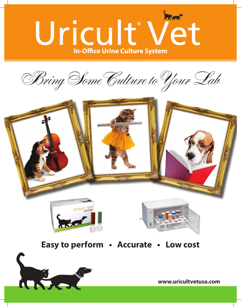

Bring Some Culture to Your Lab





A Servi



**Easy to perform • Accurate • Low cost**

**www.uricultvetusa.com**